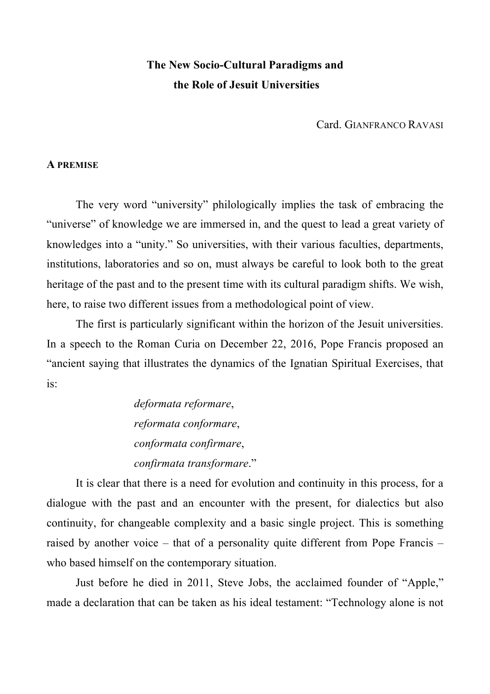# **The New Socio-Cultural Paradigms and the Role of Jesuit Universities**

Card. GIANFRANCO RAVASI

#### **A PREMISE**

The very word "university" philologically implies the task of embracing the "universe" of knowledge we are immersed in, and the quest to lead a great variety of knowledges into a "unity." So universities, with their various faculties, departments, institutions, laboratories and so on, must always be careful to look both to the great heritage of the past and to the present time with its cultural paradigm shifts. We wish, here, to raise two different issues from a methodological point of view.

The first is particularly significant within the horizon of the Jesuit universities. In a speech to the Roman Curia on December 22, 2016, Pope Francis proposed an "ancient saying that illustrates the dynamics of the Ignatian Spiritual Exercises, that is:

> *deformata reformare*, *reformata conformare*, *conformata confirmare*, *confirmata transformare*."

It is clear that there is a need for evolution and continuity in this process, for a dialogue with the past and an encounter with the present, for dialectics but also continuity, for changeable complexity and a basic single project. This is something raised by another voice – that of a personality quite different from Pope Francis – who based himself on the contemporary situation.

Just before he died in 2011, Steve Jobs, the acclaimed founder of "Apple," made a declaration that can be taken as his ideal testament: "Technology alone is not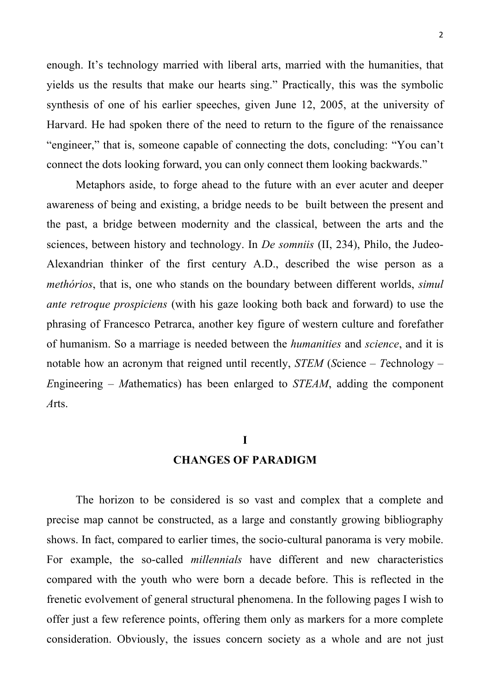enough. It's technology married with liberal arts, married with the humanities, that yields us the results that make our hearts sing." Practically, this was the symbolic synthesis of one of his earlier speeches, given June 12, 2005, at the university of Harvard. He had spoken there of the need to return to the figure of the renaissance "engineer," that is, someone capable of connecting the dots, concluding: "You can't connect the dots looking forward, you can only connect them looking backwards."

Metaphors aside, to forge ahead to the future with an ever acuter and deeper awareness of being and existing, a bridge needs to be built between the present and the past, a bridge between modernity and the classical, between the arts and the sciences, between history and technology. In *De somniis* (II, 234), Philo, the Judeo-Alexandrian thinker of the first century A.D., described the wise person as a *methórios*, that is, one who stands on the boundary between different worlds, *simul ante retroque prospiciens* (with his gaze looking both back and forward) to use the phrasing of Francesco Petrarca, another key figure of western culture and forefather of humanism. So a marriage is needed between the *humanities* and *science*, and it is notable how an acronym that reigned until recently, *STEM* (*S*cience – *T*echnology – *E*ngineering – *M*athematics) has been enlarged to *STEAM*, adding the component *A*rts.

#### **I**

## **CHANGES OF PARADIGM**

The horizon to be considered is so vast and complex that a complete and precise map cannot be constructed, as a large and constantly growing bibliography shows. In fact, compared to earlier times, the socio-cultural panorama is very mobile. For example, the so-called *millennials* have different and new characteristics compared with the youth who were born a decade before. This is reflected in the frenetic evolvement of general structural phenomena. In the following pages I wish to offer just a few reference points, offering them only as markers for a more complete consideration. Obviously, the issues concern society as a whole and are not just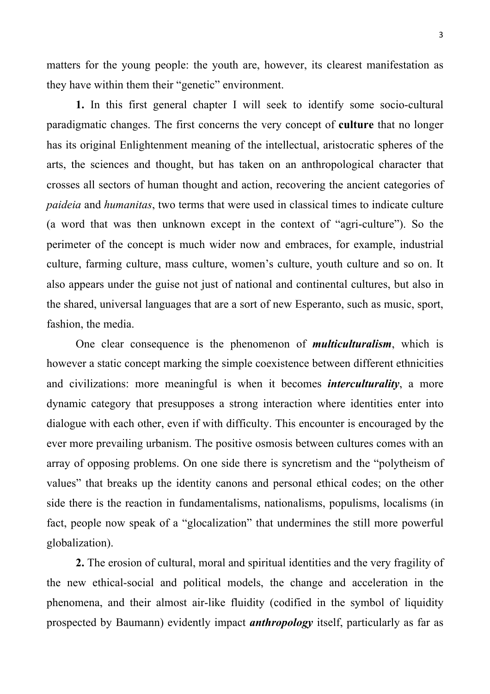matters for the young people: the youth are, however, its clearest manifestation as they have within them their "genetic" environment.

**1.** In this first general chapter I will seek to identify some socio-cultural paradigmatic changes. The first concerns the very concept of **culture** that no longer has its original Enlightenment meaning of the intellectual, aristocratic spheres of the arts, the sciences and thought, but has taken on an anthropological character that crosses all sectors of human thought and action, recovering the ancient categories of *paideia* and *humanitas*, two terms that were used in classical times to indicate culture (a word that was then unknown except in the context of "agri-culture"). So the perimeter of the concept is much wider now and embraces, for example, industrial culture, farming culture, mass culture, women's culture, youth culture and so on. It also appears under the guise not just of national and continental cultures, but also in the shared, universal languages that are a sort of new Esperanto, such as music, sport, fashion, the media.

One clear consequence is the phenomenon of *multiculturalism*, which is however a static concept marking the simple coexistence between different ethnicities and civilizations: more meaningful is when it becomes *interculturality*, a more dynamic category that presupposes a strong interaction where identities enter into dialogue with each other, even if with difficulty. This encounter is encouraged by the ever more prevailing urbanism. The positive osmosis between cultures comes with an array of opposing problems. On one side there is syncretism and the "polytheism of values" that breaks up the identity canons and personal ethical codes; on the other side there is the reaction in fundamentalisms, nationalisms, populisms, localisms (in fact, people now speak of a "glocalization" that undermines the still more powerful globalization).

**2.** The erosion of cultural, moral and spiritual identities and the very fragility of the new ethical-social and political models, the change and acceleration in the phenomena, and their almost air-like fluidity (codified in the symbol of liquidity prospected by Baumann) evidently impact *anthropology* itself, particularly as far as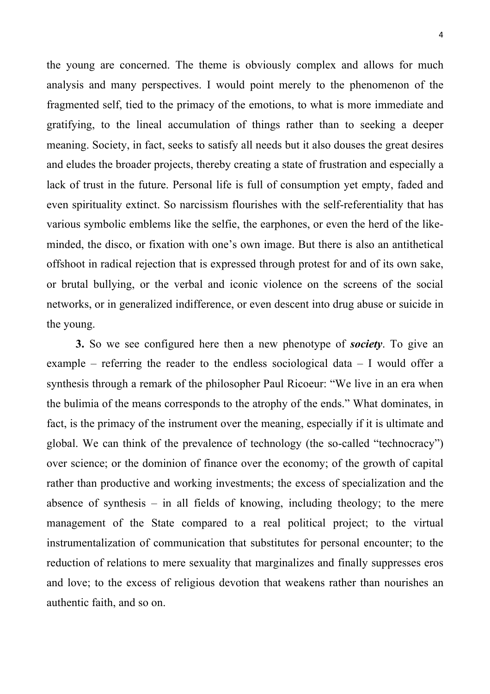the young are concerned. The theme is obviously complex and allows for much analysis and many perspectives. I would point merely to the phenomenon of the fragmented self, tied to the primacy of the emotions, to what is more immediate and gratifying, to the lineal accumulation of things rather than to seeking a deeper meaning. Society, in fact, seeks to satisfy all needs but it also douses the great desires and eludes the broader projects, thereby creating a state of frustration and especially a lack of trust in the future. Personal life is full of consumption yet empty, faded and even spirituality extinct. So narcissism flourishes with the self-referentiality that has various symbolic emblems like the selfie, the earphones, or even the herd of the likeminded, the disco, or fixation with one's own image. But there is also an antithetical offshoot in radical rejection that is expressed through protest for and of its own sake, or brutal bullying, or the verbal and iconic violence on the screens of the social networks, or in generalized indifference, or even descent into drug abuse or suicide in the young.

**3.** So we see configured here then a new phenotype of *society*. To give an example – referring the reader to the endless sociological data – I would offer a synthesis through a remark of the philosopher Paul Ricoeur: "We live in an era when the bulimia of the means corresponds to the atrophy of the ends." What dominates, in fact, is the primacy of the instrument over the meaning, especially if it is ultimate and global. We can think of the prevalence of technology (the so-called "technocracy") over science; or the dominion of finance over the economy; of the growth of capital rather than productive and working investments; the excess of specialization and the absence of synthesis – in all fields of knowing, including theology; to the mere management of the State compared to a real political project; to the virtual instrumentalization of communication that substitutes for personal encounter; to the reduction of relations to mere sexuality that marginalizes and finally suppresses eros and love; to the excess of religious devotion that weakens rather than nourishes an authentic faith, and so on.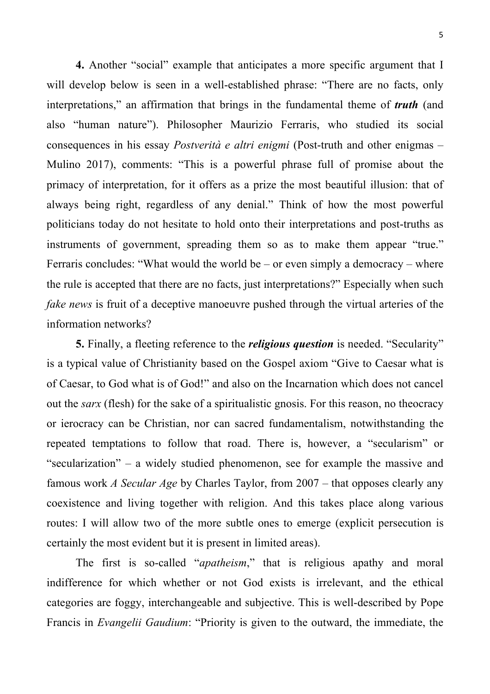**4.** Another "social" example that anticipates a more specific argument that I will develop below is seen in a well-established phrase: "There are no facts, only interpretations," an affirmation that brings in the fundamental theme of *truth* (and also "human nature"). Philosopher Maurizio Ferraris, who studied its social consequences in his essay *Postverità e altri enigmi* (Post-truth and other enigmas – Mulino 2017), comments: "This is a powerful phrase full of promise about the primacy of interpretation, for it offers as a prize the most beautiful illusion: that of always being right, regardless of any denial." Think of how the most powerful politicians today do not hesitate to hold onto their interpretations and post-truths as instruments of government, spreading them so as to make them appear "true." Ferraris concludes: "What would the world be – or even simply a democracy – where the rule is accepted that there are no facts, just interpretations?" Especially when such *fake news* is fruit of a deceptive manoeuvre pushed through the virtual arteries of the information networks?

**5.** Finally, a fleeting reference to the *religious question* is needed. "Secularity" is a typical value of Christianity based on the Gospel axiom "Give to Caesar what is of Caesar, to God what is of God!" and also on the Incarnation which does not cancel out the *sarx* (flesh) for the sake of a spiritualistic gnosis. For this reason, no theocracy or ierocracy can be Christian, nor can sacred fundamentalism, notwithstanding the repeated temptations to follow that road. There is, however, a "secularism" or "secularization" – a widely studied phenomenon, see for example the massive and famous work *A Secular Age* by Charles Taylor, from 2007 – that opposes clearly any coexistence and living together with religion. And this takes place along various routes: I will allow two of the more subtle ones to emerge (explicit persecution is certainly the most evident but it is present in limited areas).

The first is so-called "*apatheism*," that is religious apathy and moral indifference for which whether or not God exists is irrelevant, and the ethical categories are foggy, interchangeable and subjective. This is well-described by Pope Francis in *Evangelii Gaudium*: "Priority is given to the outward, the immediate, the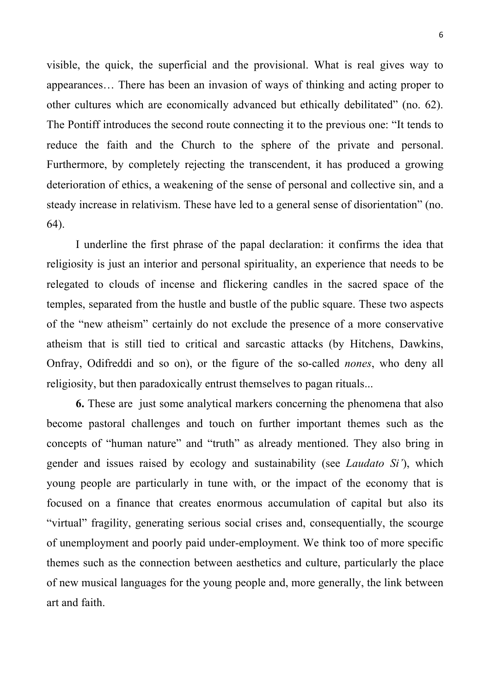visible, the quick, the superficial and the provisional. What is real gives way to appearances… There has been an invasion of ways of thinking and acting proper to other cultures which are economically advanced but ethically debilitated" (no. 62). The Pontiff introduces the second route connecting it to the previous one: "It tends to reduce the faith and the Church to the sphere of the private and personal. Furthermore, by completely rejecting the transcendent, it has produced a growing deterioration of ethics, a weakening of the sense of personal and collective sin, and a steady increase in relativism. These have led to a general sense of disorientation" (no. 64).

I underline the first phrase of the papal declaration: it confirms the idea that religiosity is just an interior and personal spirituality, an experience that needs to be relegated to clouds of incense and flickering candles in the sacred space of the temples, separated from the hustle and bustle of the public square. These two aspects of the "new atheism" certainly do not exclude the presence of a more conservative atheism that is still tied to critical and sarcastic attacks (by Hitchens, Dawkins, Onfray, Odifreddi and so on), or the figure of the so-called *nones*, who deny all religiosity, but then paradoxically entrust themselves to pagan rituals...

**6.** These are just some analytical markers concerning the phenomena that also become pastoral challenges and touch on further important themes such as the concepts of "human nature" and "truth" as already mentioned. They also bring in gender and issues raised by ecology and sustainability (see *Laudato Si'*), which young people are particularly in tune with, or the impact of the economy that is focused on a finance that creates enormous accumulation of capital but also its "virtual" fragility, generating serious social crises and, consequentially, the scourge of unemployment and poorly paid under-employment. We think too of more specific themes such as the connection between aesthetics and culture, particularly the place of new musical languages for the young people and, more generally, the link between art and faith.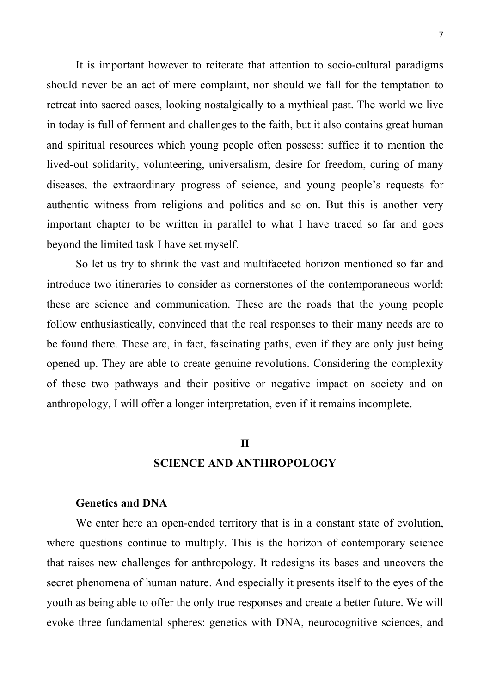It is important however to reiterate that attention to socio-cultural paradigms should never be an act of mere complaint, nor should we fall for the temptation to retreat into sacred oases, looking nostalgically to a mythical past. The world we live in today is full of ferment and challenges to the faith, but it also contains great human and spiritual resources which young people often possess: suffice it to mention the lived-out solidarity, volunteering, universalism, desire for freedom, curing of many diseases, the extraordinary progress of science, and young people's requests for authentic witness from religions and politics and so on. But this is another very important chapter to be written in parallel to what I have traced so far and goes beyond the limited task I have set myself.

So let us try to shrink the vast and multifaceted horizon mentioned so far and introduce two itineraries to consider as cornerstones of the contemporaneous world: these are science and communication. These are the roads that the young people follow enthusiastically, convinced that the real responses to their many needs are to be found there. These are, in fact, fascinating paths, even if they are only just being opened up. They are able to create genuine revolutions. Considering the complexity of these two pathways and their positive or negative impact on society and on anthropology, I will offer a longer interpretation, even if it remains incomplete.

#### **II**

## **SCIENCE AND ANTHROPOLOGY**

### **Genetics and DNA**

We enter here an open-ended territory that is in a constant state of evolution, where questions continue to multiply. This is the horizon of contemporary science that raises new challenges for anthropology. It redesigns its bases and uncovers the secret phenomena of human nature. And especially it presents itself to the eyes of the youth as being able to offer the only true responses and create a better future. We will evoke three fundamental spheres: genetics with DNA, neurocognitive sciences, and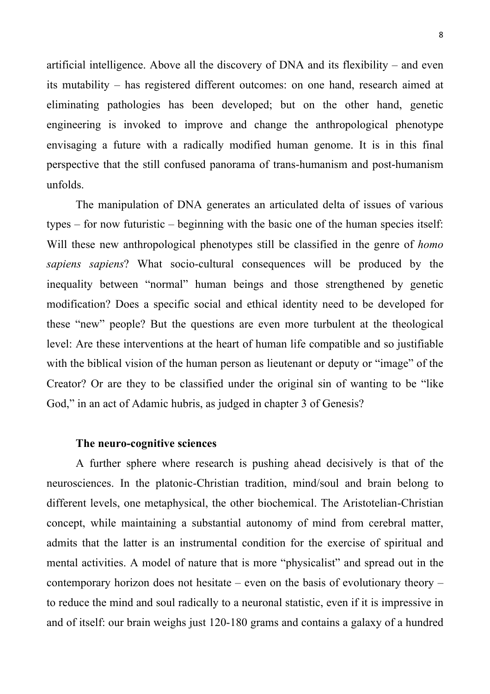artificial intelligence. Above all the discovery of DNA and its flexibility – and even its mutability – has registered different outcomes: on one hand, research aimed at eliminating pathologies has been developed; but on the other hand, genetic engineering is invoked to improve and change the anthropological phenotype envisaging a future with a radically modified human genome. It is in this final perspective that the still confused panorama of trans-humanism and post-humanism unfolds.

The manipulation of DNA generates an articulated delta of issues of various types – for now futuristic – beginning with the basic one of the human species itself: Will these new anthropological phenotypes still be classified in the genre of *homo sapiens sapiens*? What socio-cultural consequences will be produced by the inequality between "normal" human beings and those strengthened by genetic modification? Does a specific social and ethical identity need to be developed for these "new" people? But the questions are even more turbulent at the theological level: Are these interventions at the heart of human life compatible and so justifiable with the biblical vision of the human person as lieutenant or deputy or "image" of the Creator? Or are they to be classified under the original sin of wanting to be "like God," in an act of Adamic hubris, as judged in chapter 3 of Genesis?

## **The neuro-cognitive sciences**

A further sphere where research is pushing ahead decisively is that of the neurosciences. In the platonic-Christian tradition, mind/soul and brain belong to different levels, one metaphysical, the other biochemical. The Aristotelian-Christian concept, while maintaining a substantial autonomy of mind from cerebral matter, admits that the latter is an instrumental condition for the exercise of spiritual and mental activities. A model of nature that is more "physicalist" and spread out in the contemporary horizon does not hesitate – even on the basis of evolutionary theory – to reduce the mind and soul radically to a neuronal statistic, even if it is impressive in and of itself: our brain weighs just 120-180 grams and contains a galaxy of a hundred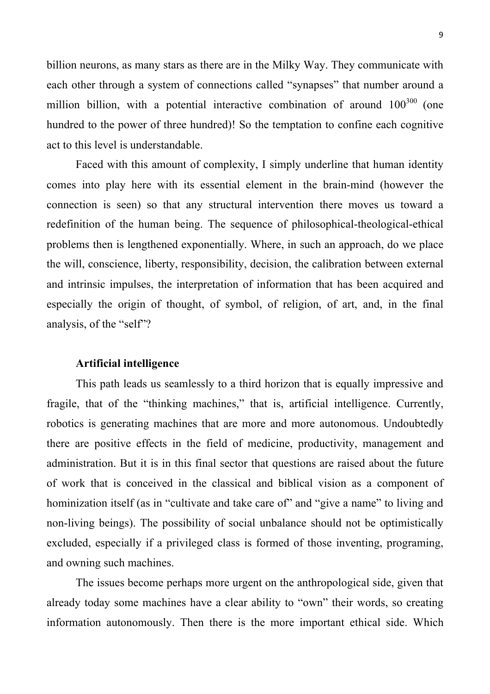billion neurons, as many stars as there are in the Milky Way. They communicate with each other through a system of connections called "synapses" that number around a million billion, with a potential interactive combination of around  $100^{300}$  (one hundred to the power of three hundred)! So the temptation to confine each cognitive act to this level is understandable.

Faced with this amount of complexity, I simply underline that human identity comes into play here with its essential element in the brain-mind (however the connection is seen) so that any structural intervention there moves us toward a redefinition of the human being. The sequence of philosophical-theological-ethical problems then is lengthened exponentially. Where, in such an approach, do we place the will, conscience, liberty, responsibility, decision, the calibration between external and intrinsic impulses, the interpretation of information that has been acquired and especially the origin of thought, of symbol, of religion, of art, and, in the final analysis, of the "self"?

## **Artificial intelligence**

This path leads us seamlessly to a third horizon that is equally impressive and fragile, that of the "thinking machines," that is, artificial intelligence. Currently, robotics is generating machines that are more and more autonomous. Undoubtedly there are positive effects in the field of medicine, productivity, management and administration. But it is in this final sector that questions are raised about the future of work that is conceived in the classical and biblical vision as a component of hominization itself (as in "cultivate and take care of" and "give a name" to living and non-living beings). The possibility of social unbalance should not be optimistically excluded, especially if a privileged class is formed of those inventing, programing, and owning such machines.

The issues become perhaps more urgent on the anthropological side, given that already today some machines have a clear ability to "own" their words, so creating information autonomously. Then there is the more important ethical side. Which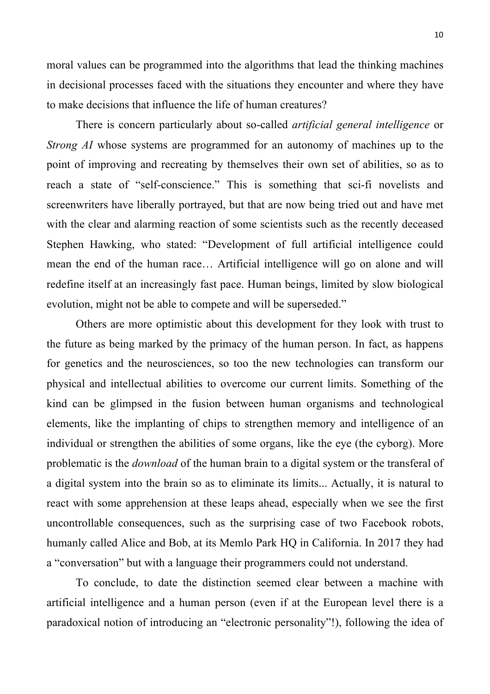moral values can be programmed into the algorithms that lead the thinking machines in decisional processes faced with the situations they encounter and where they have to make decisions that influence the life of human creatures?

There is concern particularly about so-called *artificial general intelligence* or *Strong AI* whose systems are programmed for an autonomy of machines up to the point of improving and recreating by themselves their own set of abilities, so as to reach a state of "self-conscience." This is something that sci-fi novelists and screenwriters have liberally portrayed, but that are now being tried out and have met with the clear and alarming reaction of some scientists such as the recently deceased Stephen Hawking, who stated: "Development of full artificial intelligence could mean the end of the human race… Artificial intelligence will go on alone and will redefine itself at an increasingly fast pace. Human beings, limited by slow biological evolution, might not be able to compete and will be superseded."

Others are more optimistic about this development for they look with trust to the future as being marked by the primacy of the human person. In fact, as happens for genetics and the neurosciences, so too the new technologies can transform our physical and intellectual abilities to overcome our current limits. Something of the kind can be glimpsed in the fusion between human organisms and technological elements, like the implanting of chips to strengthen memory and intelligence of an individual or strengthen the abilities of some organs, like the eye (the cyborg). More problematic is the *download* of the human brain to a digital system or the transferal of a digital system into the brain so as to eliminate its limits... Actually, it is natural to react with some apprehension at these leaps ahead, especially when we see the first uncontrollable consequences, such as the surprising case of two Facebook robots, humanly called Alice and Bob, at its Memlo Park HQ in California. In 2017 they had a "conversation" but with a language their programmers could not understand.

To conclude, to date the distinction seemed clear between a machine with artificial intelligence and a human person (even if at the European level there is a paradoxical notion of introducing an "electronic personality"!), following the idea of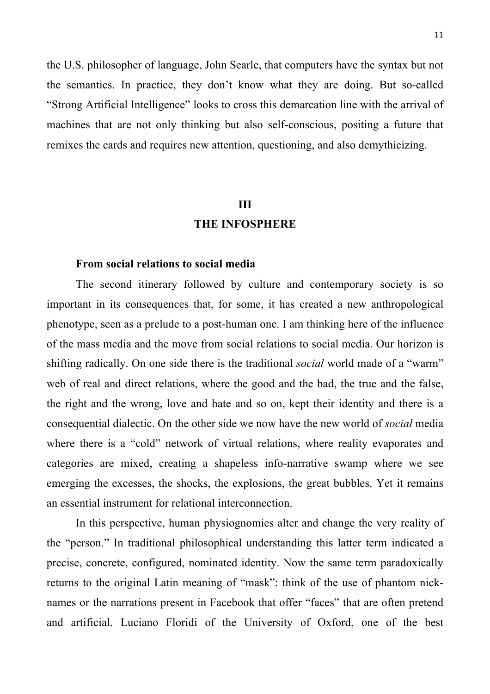the U.S. philosopher of language, John Searle, that computers have the syntax but not the semantics. In practice, they don't know what they are doing. But so-called "Strong Artificial Intelligence" looks to cross this demarcation line with the arrival of machines that are not only thinking but also self-conscious, positing a future that remixes the cards and requires new attention, questioning, and also demythicizing.

# **III**

## **THE INFOSPHERE**

#### **From social relations to social media**

The second itinerary followed by culture and contemporary society is so important in its consequences that, for some, it has created a new anthropological phenotype, seen as a prelude to a post-human one. I am thinking here of the influence of the mass media and the move from social relations to social media. Our horizon is shifting radically. On one side there is the traditional *social* world made of a "warm" web of real and direct relations, where the good and the bad, the true and the false, the right and the wrong, love and hate and so on, kept their identity and there is a consequential dialectic. On the other side we now have the new world of *social* media where there is a "cold" network of virtual relations, where reality evaporates and categories are mixed, creating a shapeless info-narrative swamp where we see emerging the excesses, the shocks, the explosions, the great bubbles. Yet it remains an essential instrument for relational interconnection.

In this perspective, human physiognomies alter and change the very reality of the "person." In traditional philosophical understanding this latter term indicated a precise, concrete, configured, nominated identity. Now the same term paradoxically returns to the original Latin meaning of "mask": think of the use of phantom nicknames or the narrations present in Facebook that offer "faces" that are often pretend and artificial. Luciano Floridi of the University of Oxford, one of the best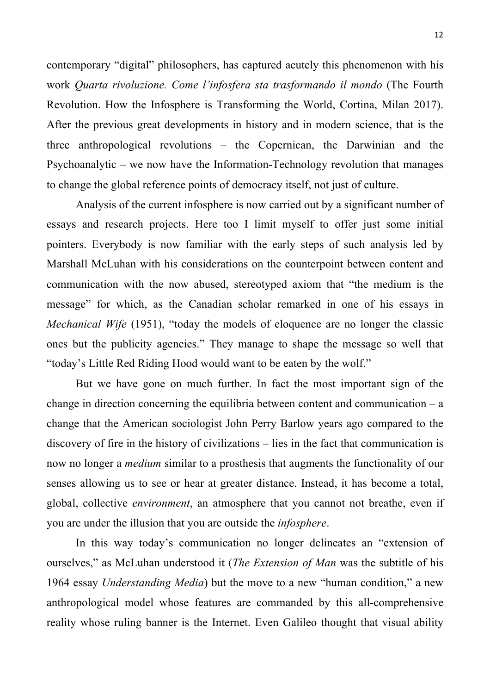contemporary "digital" philosophers, has captured acutely this phenomenon with his work *Quarta rivoluzione. Come l'infosfera sta trasformando il mondo* (The Fourth Revolution. How the Infosphere is Transforming the World, Cortina, Milan 2017). After the previous great developments in history and in modern science, that is the three anthropological revolutions – the Copernican, the Darwinian and the Psychoanalytic – we now have the Information-Technology revolution that manages to change the global reference points of democracy itself, not just of culture.

Analysis of the current infosphere is now carried out by a significant number of essays and research projects. Here too I limit myself to offer just some initial pointers. Everybody is now familiar with the early steps of such analysis led by Marshall McLuhan with his considerations on the counterpoint between content and communication with the now abused, stereotyped axiom that "the medium is the message" for which, as the Canadian scholar remarked in one of his essays in *Mechanical Wife* (1951), "today the models of eloquence are no longer the classic ones but the publicity agencies." They manage to shape the message so well that "today's Little Red Riding Hood would want to be eaten by the wolf."

But we have gone on much further. In fact the most important sign of the change in direction concerning the equilibria between content and communication – a change that the American sociologist John Perry Barlow years ago compared to the discovery of fire in the history of civilizations – lies in the fact that communication is now no longer a *medium* similar to a prosthesis that augments the functionality of our senses allowing us to see or hear at greater distance. Instead, it has become a total, global, collective *environment*, an atmosphere that you cannot not breathe, even if you are under the illusion that you are outside the *infosphere*.

In this way today's communication no longer delineates an "extension of ourselves," as McLuhan understood it (*The Extension of Man* was the subtitle of his 1964 essay *Understanding Media*) but the move to a new "human condition," a new anthropological model whose features are commanded by this all-comprehensive reality whose ruling banner is the Internet. Even Galileo thought that visual ability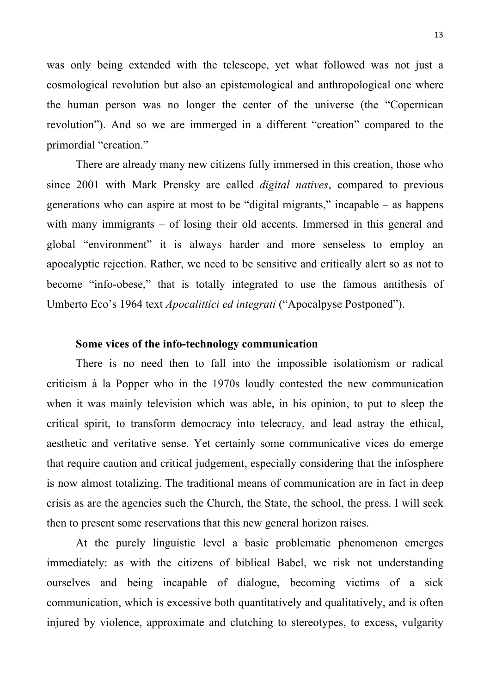was only being extended with the telescope, yet what followed was not just a cosmological revolution but also an epistemological and anthropological one where the human person was no longer the center of the universe (the "Copernican revolution"). And so we are immerged in a different "creation" compared to the primordial "creation."

There are already many new citizens fully immersed in this creation, those who since 2001 with Mark Prensky are called *digital natives*, compared to previous generations who can aspire at most to be "digital migrants," incapable – as happens with many immigrants – of losing their old accents. Immersed in this general and global "environment" it is always harder and more senseless to employ an apocalyptic rejection. Rather, we need to be sensitive and critically alert so as not to become "info-obese," that is totally integrated to use the famous antithesis of Umberto Eco's 1964 text *Apocalittici ed integrati* ("Apocalpyse Postponed").

## **Some vices of the info-technology communication**

There is no need then to fall into the impossible isolationism or radical criticism à la Popper who in the 1970s loudly contested the new communication when it was mainly television which was able, in his opinion, to put to sleep the critical spirit, to transform democracy into telecracy, and lead astray the ethical, aesthetic and veritative sense. Yet certainly some communicative vices do emerge that require caution and critical judgement, especially considering that the infosphere is now almost totalizing. The traditional means of communication are in fact in deep crisis as are the agencies such the Church, the State, the school, the press. I will seek then to present some reservations that this new general horizon raises.

At the purely linguistic level a basic problematic phenomenon emerges immediately: as with the citizens of biblical Babel, we risk not understanding ourselves and being incapable of dialogue, becoming victims of a sick communication, which is excessive both quantitatively and qualitatively, and is often injured by violence, approximate and clutching to stereotypes, to excess, vulgarity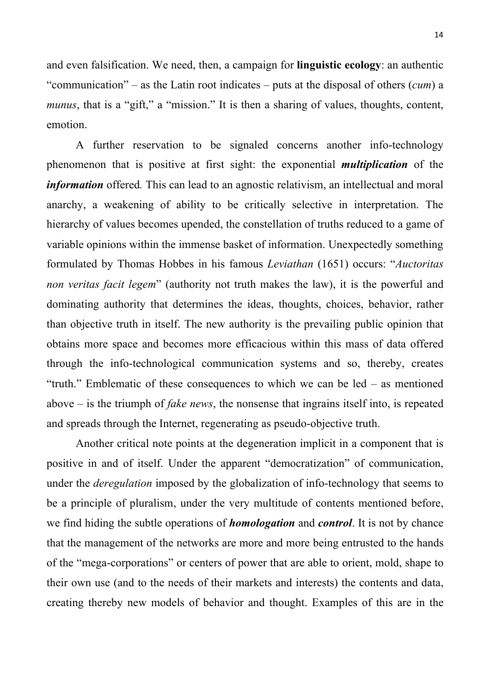14

and even falsification. We need, then, a campaign for **linguistic ecology**: an authentic "communication" – as the Latin root indicates – puts at the disposal of others (*cum*) a *munus*, that is a "gift," a "mission." It is then a sharing of values, thoughts, content, emotion.

A further reservation to be signaled concerns another info-technology phenomenon that is positive at first sight: the exponential *multiplication* of the *information* offered*.* This can lead to an agnostic relativism, an intellectual and moral anarchy, a weakening of ability to be critically selective in interpretation. The hierarchy of values becomes upended, the constellation of truths reduced to a game of variable opinions within the immense basket of information. Unexpectedly something formulated by Thomas Hobbes in his famous *Leviathan* (1651) occurs: "*Auctoritas non veritas facit legem*" (authority not truth makes the law), it is the powerful and dominating authority that determines the ideas, thoughts, choices, behavior, rather than objective truth in itself. The new authority is the prevailing public opinion that obtains more space and becomes more efficacious within this mass of data offered through the info-technological communication systems and so, thereby, creates "truth." Emblematic of these consequences to which we can be led – as mentioned above – is the triumph of *fake news*, the nonsense that ingrains itself into, is repeated and spreads through the Internet, regenerating as pseudo-objective truth.

Another critical note points at the degeneration implicit in a component that is positive in and of itself. Under the apparent "democratization" of communication, under the *deregulation* imposed by the globalization of info-technology that seems to be a principle of pluralism, under the very multitude of contents mentioned before, we find hiding the subtle operations of *homologation* and *control*. It is not by chance that the management of the networks are more and more being entrusted to the hands of the "mega-corporations" or centers of power that are able to orient, mold, shape to their own use (and to the needs of their markets and interests) the contents and data, creating thereby new models of behavior and thought. Examples of this are in the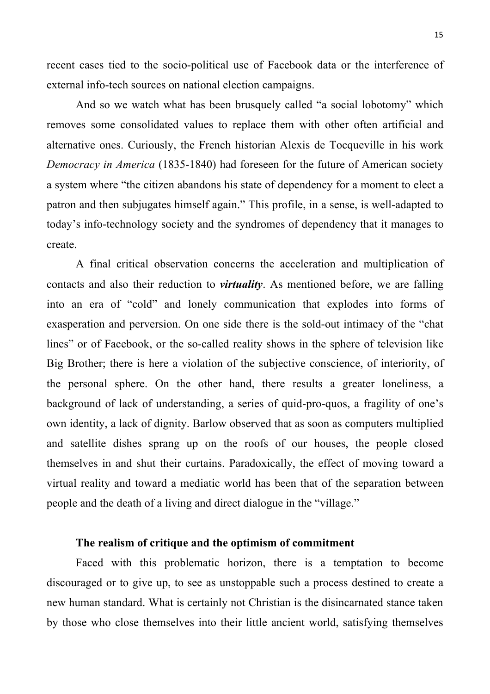recent cases tied to the socio-political use of Facebook data or the interference of external info-tech sources on national election campaigns.

And so we watch what has been brusquely called "a social lobotomy" which removes some consolidated values to replace them with other often artificial and alternative ones. Curiously, the French historian Alexis de Tocqueville in his work *Democracy in America* (1835-1840) had foreseen for the future of American society a system where "the citizen abandons his state of dependency for a moment to elect a patron and then subjugates himself again." This profile, in a sense, is well-adapted to today's info-technology society and the syndromes of dependency that it manages to create.

A final critical observation concerns the acceleration and multiplication of contacts and also their reduction to *virtuality*. As mentioned before, we are falling into an era of "cold" and lonely communication that explodes into forms of exasperation and perversion. On one side there is the sold-out intimacy of the "chat lines" or of Facebook, or the so-called reality shows in the sphere of television like Big Brother; there is here a violation of the subjective conscience, of interiority, of the personal sphere. On the other hand, there results a greater loneliness, a background of lack of understanding, a series of quid-pro-quos, a fragility of one's own identity, a lack of dignity. Barlow observed that as soon as computers multiplied and satellite dishes sprang up on the roofs of our houses, the people closed themselves in and shut their curtains. Paradoxically, the effect of moving toward a virtual reality and toward a mediatic world has been that of the separation between people and the death of a living and direct dialogue in the "village."

# **The realism of critique and the optimism of commitment**

Faced with this problematic horizon, there is a temptation to become discouraged or to give up, to see as unstoppable such a process destined to create a new human standard. What is certainly not Christian is the disincarnated stance taken by those who close themselves into their little ancient world, satisfying themselves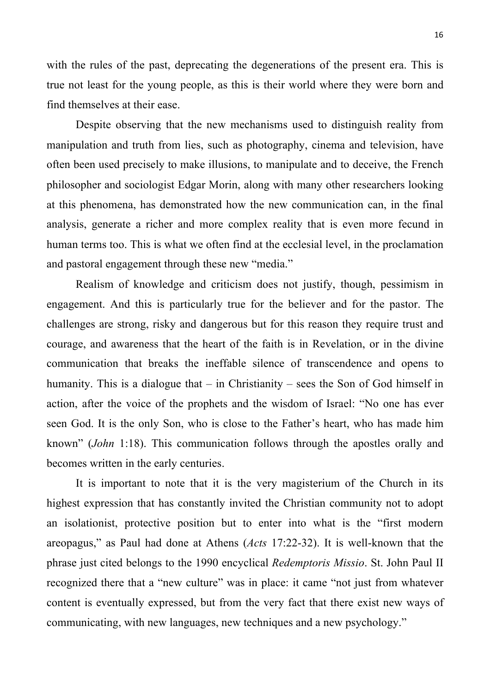with the rules of the past, deprecating the degenerations of the present era. This is true not least for the young people, as this is their world where they were born and find themselves at their ease.

Despite observing that the new mechanisms used to distinguish reality from manipulation and truth from lies, such as photography, cinema and television, have often been used precisely to make illusions, to manipulate and to deceive, the French philosopher and sociologist Edgar Morin, along with many other researchers looking at this phenomena, has demonstrated how the new communication can, in the final analysis, generate a richer and more complex reality that is even more fecund in human terms too. This is what we often find at the ecclesial level, in the proclamation and pastoral engagement through these new "media."

Realism of knowledge and criticism does not justify, though, pessimism in engagement. And this is particularly true for the believer and for the pastor. The challenges are strong, risky and dangerous but for this reason they require trust and courage, and awareness that the heart of the faith is in Revelation, or in the divine communication that breaks the ineffable silence of transcendence and opens to humanity. This is a dialogue that – in Christianity – sees the Son of God himself in action, after the voice of the prophets and the wisdom of Israel: "No one has ever seen God. It is the only Son, who is close to the Father's heart, who has made him known" (*John* 1:18). This communication follows through the apostles orally and becomes written in the early centuries.

It is important to note that it is the very magisterium of the Church in its highest expression that has constantly invited the Christian community not to adopt an isolationist, protective position but to enter into what is the "first modern areopagus," as Paul had done at Athens (*Acts* 17:22-32). It is well-known that the phrase just cited belongs to the 1990 encyclical *Redemptoris Missio*. St. John Paul II recognized there that a "new culture" was in place: it came "not just from whatever content is eventually expressed, but from the very fact that there exist new ways of communicating, with new languages, new techniques and a new psychology."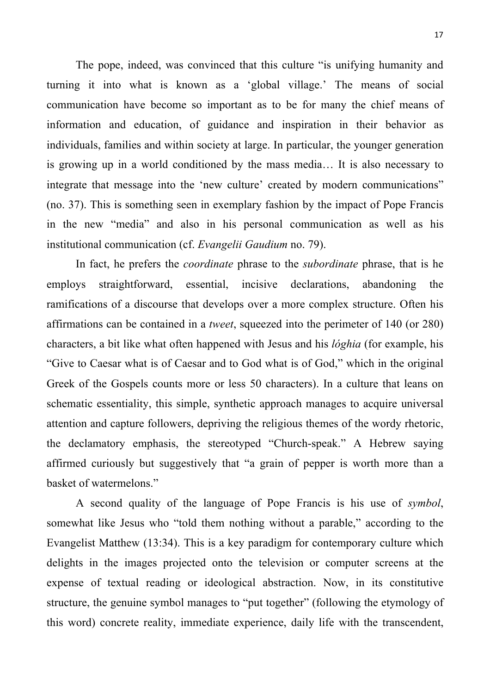The pope, indeed, was convinced that this culture "is unifying humanity and turning it into what is known as a 'global village.' The means of social communication have become so important as to be for many the chief means of information and education, of guidance and inspiration in their behavior as individuals, families and within society at large. In particular, the younger generation is growing up in a world conditioned by the mass media… It is also necessary to integrate that message into the 'new culture' created by modern communications" (no. 37). This is something seen in exemplary fashion by the impact of Pope Francis in the new "media" and also in his personal communication as well as his institutional communication (cf. *Evangelii Gaudium* no. 79).

In fact, he prefers the *coordinate* phrase to the *subordinate* phrase, that is he employs straightforward, essential, incisive declarations, abandoning the ramifications of a discourse that develops over a more complex structure. Often his affirmations can be contained in a *tweet*, squeezed into the perimeter of 140 (or 280) characters, a bit like what often happened with Jesus and his *lóghia* (for example, his "Give to Caesar what is of Caesar and to God what is of God," which in the original Greek of the Gospels counts more or less 50 characters). In a culture that leans on schematic essentiality, this simple, synthetic approach manages to acquire universal attention and capture followers, depriving the religious themes of the wordy rhetoric, the declamatory emphasis, the stereotyped "Church-speak." A Hebrew saying affirmed curiously but suggestively that "a grain of pepper is worth more than a basket of watermelons."

A second quality of the language of Pope Francis is his use of *symbol*, somewhat like Jesus who "told them nothing without a parable," according to the Evangelist Matthew (13:34). This is a key paradigm for contemporary culture which delights in the images projected onto the television or computer screens at the expense of textual reading or ideological abstraction. Now, in its constitutive structure, the genuine symbol manages to "put together" (following the etymology of this word) concrete reality, immediate experience, daily life with the transcendent,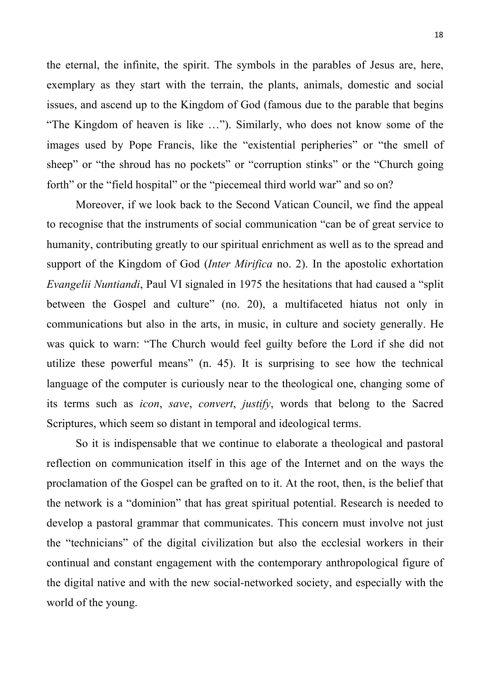the eternal, the infinite, the spirit. The symbols in the parables of Jesus are, here, exemplary as they start with the terrain, the plants, animals, domestic and social issues, and ascend up to the Kingdom of God (famous due to the parable that begins "The Kingdom of heaven is like …"). Similarly, who does not know some of the images used by Pope Francis, like the "existential peripheries" or "the smell of sheep" or "the shroud has no pockets" or "corruption stinks" or the "Church going forth" or the "field hospital" or the "piecemeal third world war" and so on?

Moreover, if we look back to the Second Vatican Council, we find the appeal to recognise that the instruments of social communication "can be of great service to humanity, contributing greatly to our spiritual enrichment as well as to the spread and support of the Kingdom of God (*Inter Mirifica* no. 2). In the apostolic exhortation *Evangelii Nuntiandi*, Paul VI signaled in 1975 the hesitations that had caused a "split between the Gospel and culture" (no. 20), a multifaceted hiatus not only in communications but also in the arts, in music, in culture and society generally. He was quick to warn: "The Church would feel guilty before the Lord if she did not utilize these powerful means" (n. 45). It is surprising to see how the technical language of the computer is curiously near to the theological one, changing some of its terms such as *icon*, *save*, *convert*, *justify*, words that belong to the Sacred Scriptures, which seem so distant in temporal and ideological terms.

So it is indispensable that we continue to elaborate a theological and pastoral reflection on communication itself in this age of the Internet and on the ways the proclamation of the Gospel can be grafted on to it. At the root, then, is the belief that the network is a "dominion" that has great spiritual potential. Research is needed to develop a pastoral grammar that communicates. This concern must involve not just the "technicians" of the digital civilization but also the ecclesial workers in their continual and constant engagement with the contemporary anthropological figure of the digital native and with the new social-networked society, and especially with the world of the young.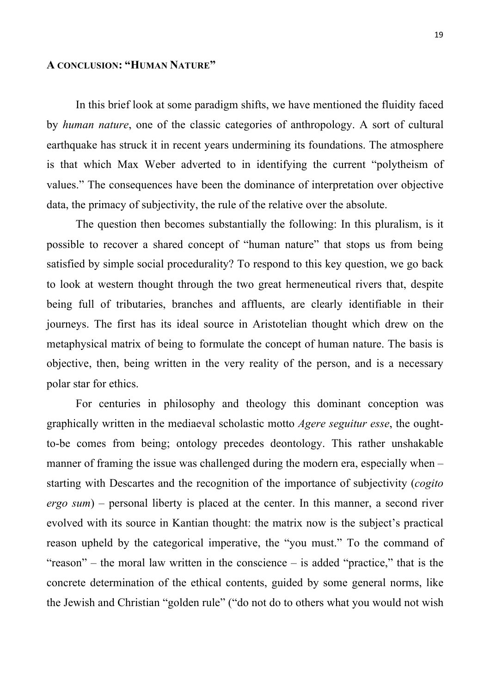# **A CONCLUSION: "HUMAN NATURE"**

In this brief look at some paradigm shifts, we have mentioned the fluidity faced by *human nature*, one of the classic categories of anthropology. A sort of cultural earthquake has struck it in recent years undermining its foundations. The atmosphere is that which Max Weber adverted to in identifying the current "polytheism of values." The consequences have been the dominance of interpretation over objective data, the primacy of subjectivity, the rule of the relative over the absolute.

The question then becomes substantially the following: In this pluralism, is it possible to recover a shared concept of "human nature" that stops us from being satisfied by simple social procedurality? To respond to this key question, we go back to look at western thought through the two great hermeneutical rivers that, despite being full of tributaries, branches and affluents, are clearly identifiable in their journeys. The first has its ideal source in Aristotelian thought which drew on the metaphysical matrix of being to formulate the concept of human nature. The basis is objective, then, being written in the very reality of the person, and is a necessary polar star for ethics.

For centuries in philosophy and theology this dominant conception was graphically written in the mediaeval scholastic motto *Agere seguitur esse*, the oughtto-be comes from being; ontology precedes deontology. This rather unshakable manner of framing the issue was challenged during the modern era, especially when – starting with Descartes and the recognition of the importance of subjectivity (*cogito ergo sum*) – personal liberty is placed at the center. In this manner, a second river evolved with its source in Kantian thought: the matrix now is the subject's practical reason upheld by the categorical imperative, the "you must." To the command of "reason" – the moral law written in the conscience – is added "practice," that is the concrete determination of the ethical contents, guided by some general norms, like the Jewish and Christian "golden rule" ("do not do to others what you would not wish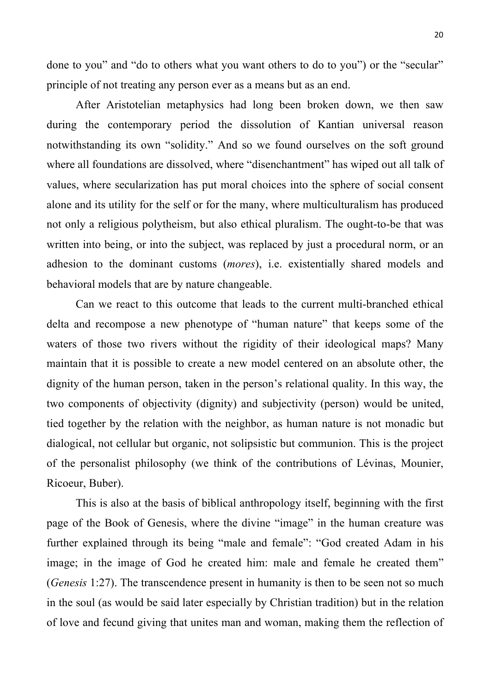done to you" and "do to others what you want others to do to you") or the "secular" principle of not treating any person ever as a means but as an end.

After Aristotelian metaphysics had long been broken down, we then saw during the contemporary period the dissolution of Kantian universal reason notwithstanding its own "solidity." And so we found ourselves on the soft ground where all foundations are dissolved, where "disenchantment" has wiped out all talk of values, where secularization has put moral choices into the sphere of social consent alone and its utility for the self or for the many, where multiculturalism has produced not only a religious polytheism, but also ethical pluralism. The ought-to-be that was written into being, or into the subject, was replaced by just a procedural norm, or an adhesion to the dominant customs (*mores*), i.e. existentially shared models and behavioral models that are by nature changeable.

Can we react to this outcome that leads to the current multi-branched ethical delta and recompose a new phenotype of "human nature" that keeps some of the waters of those two rivers without the rigidity of their ideological maps? Many maintain that it is possible to create a new model centered on an absolute other, the dignity of the human person, taken in the person's relational quality. In this way, the two components of objectivity (dignity) and subjectivity (person) would be united, tied together by the relation with the neighbor, as human nature is not monadic but dialogical, not cellular but organic, not solipsistic but communion. This is the project of the personalist philosophy (we think of the contributions of Lévinas, Mounier, Ricoeur, Buber).

This is also at the basis of biblical anthropology itself, beginning with the first page of the Book of Genesis, where the divine "image" in the human creature was further explained through its being "male and female": "God created Adam in his image; in the image of God he created him: male and female he created them" (*Genesis* 1:27). The transcendence present in humanity is then to be seen not so much in the soul (as would be said later especially by Christian tradition) but in the relation of love and fecund giving that unites man and woman, making them the reflection of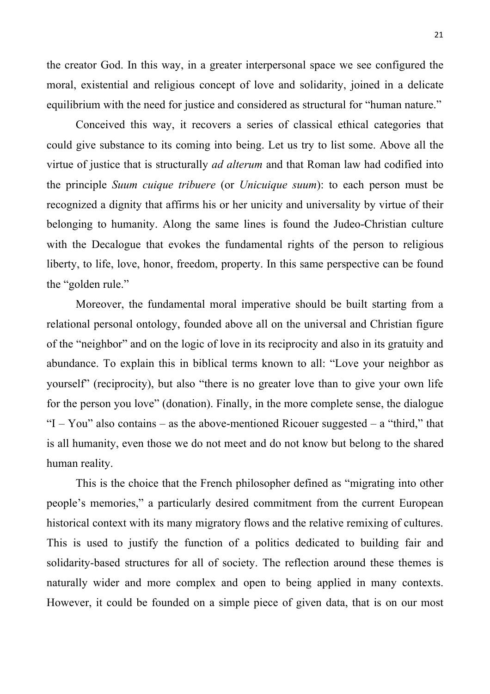the creator God. In this way, in a greater interpersonal space we see configured the moral, existential and religious concept of love and solidarity, joined in a delicate equilibrium with the need for justice and considered as structural for "human nature."

Conceived this way, it recovers a series of classical ethical categories that could give substance to its coming into being. Let us try to list some. Above all the virtue of justice that is structurally *ad alterum* and that Roman law had codified into the principle *Suum cuique tribuere* (or *Unicuique suum*): to each person must be recognized a dignity that affirms his or her unicity and universality by virtue of their belonging to humanity. Along the same lines is found the Judeo-Christian culture with the Decalogue that evokes the fundamental rights of the person to religious liberty, to life, love, honor, freedom, property. In this same perspective can be found the "golden rule."

Moreover, the fundamental moral imperative should be built starting from a relational personal ontology, founded above all on the universal and Christian figure of the "neighbor" and on the logic of love in its reciprocity and also in its gratuity and abundance. To explain this in biblical terms known to all: "Love your neighbor as yourself" (reciprocity), but also "there is no greater love than to give your own life for the person you love" (donation). Finally, in the more complete sense, the dialogue "I – You" also contains – as the above-mentioned Ricouer suggested – a "third," that is all humanity, even those we do not meet and do not know but belong to the shared human reality.

This is the choice that the French philosopher defined as "migrating into other people's memories," a particularly desired commitment from the current European historical context with its many migratory flows and the relative remixing of cultures. This is used to justify the function of a politics dedicated to building fair and solidarity-based structures for all of society. The reflection around these themes is naturally wider and more complex and open to being applied in many contexts. However, it could be founded on a simple piece of given data, that is on our most